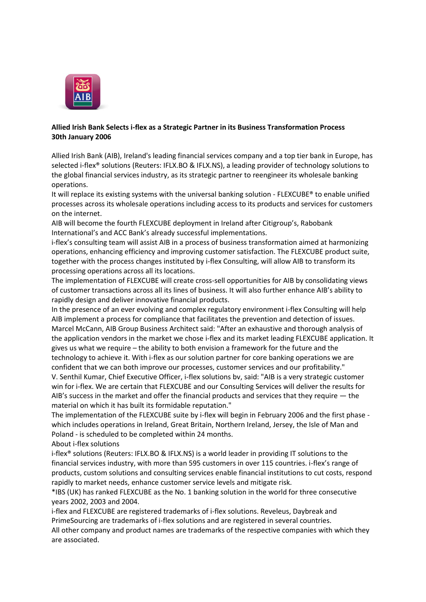

## **Allied Irish Bank Selects i-flex as a Strategic Partner in its Business Transformation Process 30th January 2006**

Allied Irish Bank (AIB), Ireland's leading financial services company and a top tier bank in Europe, has selected i-flex® solutions (Reuters: IFLX.BO & IFLX.NS), a leading provider of technology solutions to the global financial services industry, as its strategic partner to reengineer its wholesale banking operations.

It will replace its existing systems with the universal banking solution - FLEXCUBE® to enable unified processes across its wholesale operations including access to its products and services for customers on the internet.

AIB will become the fourth FLEXCUBE deployment in Ireland after Citigroup's, Rabobank International's and ACC Bank's already successful implementations.

i-flex's consulting team will assist AIB in a process of business transformation aimed at harmonizing operations, enhancing efficiency and improving customer satisfaction. The FLEXCUBE product suite, together with the process changes instituted by i-flex Consulting, will allow AIB to transform its processing operations across all its locations.

The implementation of FLEXCUBE will create cross-sell opportunities for AIB by consolidating views of customer transactions across all its lines of business. It will also further enhance AIB's ability to rapidly design and deliver innovative financial products.

In the presence of an ever evolving and complex regulatory environment i-flex Consulting will help AIB implement a process for compliance that facilitates the prevention and detection of issues. Marcel McCann, AIB Group Business Architect said: "After an exhaustive and thorough analysis of the application vendors in the market we chose i-flex and its market leading FLEXCUBE application. It gives us what we require – the ability to both envision a framework for the future and the technology to achieve it. With i-flex as our solution partner for core banking operations we are confident that we can both improve our processes, customer services and our profitability." V. Senthil Kumar, Chief Executive Officer, i-flex solutions bv, said: "AIB is a very strategic customer

win for i-flex. We are certain that FLEXCUBE and our Consulting Services will deliver the results for AIB's success in the market and offer the financial products and services that they require — the material on which it has built its formidable reputation."

The implementation of the FLEXCUBE suite by i-flex will begin in February 2006 and the first phase which includes operations in Ireland, Great Britain, Northern Ireland, Jersey, the Isle of Man and Poland - is scheduled to be completed within 24 months.

About i-flex solutions

i-flex® solutions (Reuters: IFLX.BO & IFLX.NS) is a world leader in providing IT solutions to the financial services industry, with more than 595 customers in over 115 countries. i-flex's range of products, custom solutions and consulting services enable financial institutions to cut costs, respond rapidly to market needs, enhance customer service levels and mitigate risk.

\*IBS (UK) has ranked FLEXCUBE as the No. 1 banking solution in the world for three consecutive years 2002, 2003 and 2004.

i-flex and FLEXCUBE are registered trademarks of i-flex solutions. Reveleus, Daybreak and PrimeSourcing are trademarks of i-flex solutions and are registered in several countries.

All other company and product names are trademarks of the respective companies with which they are associated.